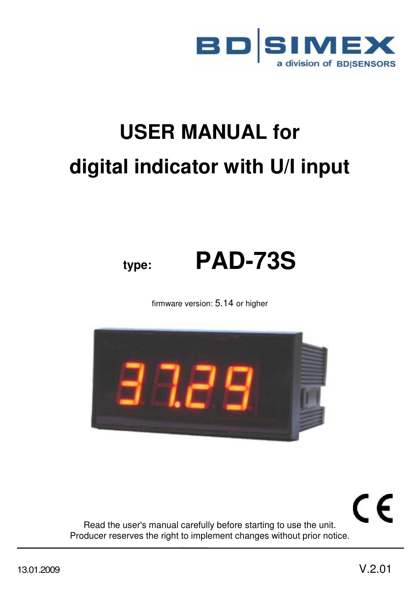

# **USER MANUAL for digital indicator with U/I input**

# **type: PAD-73S**

firmware version: 5.14 or higher



CE Read the user's manual carefully before starting to use the unit. Producer reserves the right to implement changes without prior notice.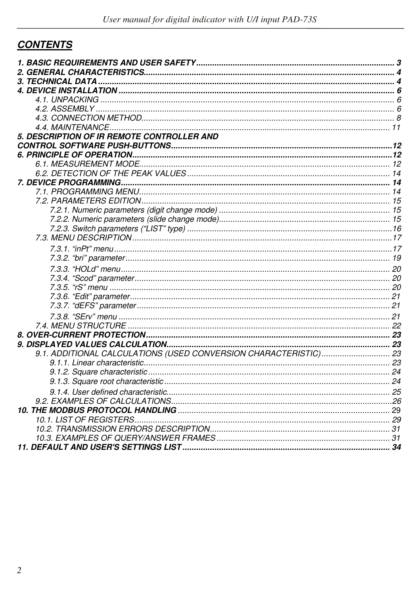# **CONTENTS**

| 5. DESCRIPTION OF IR REMOTE CONTROLLER AND                       |  |
|------------------------------------------------------------------|--|
|                                                                  |  |
|                                                                  |  |
|                                                                  |  |
|                                                                  |  |
|                                                                  |  |
|                                                                  |  |
|                                                                  |  |
|                                                                  |  |
|                                                                  |  |
|                                                                  |  |
|                                                                  |  |
|                                                                  |  |
|                                                                  |  |
|                                                                  |  |
|                                                                  |  |
|                                                                  |  |
|                                                                  |  |
|                                                                  |  |
|                                                                  |  |
|                                                                  |  |
|                                                                  |  |
|                                                                  |  |
| 9.1. ADDITIONAL CALCULATIONS (USED CONVERSION CHARACTERISTIC) 23 |  |
|                                                                  |  |
|                                                                  |  |
|                                                                  |  |
|                                                                  |  |
|                                                                  |  |
|                                                                  |  |
|                                                                  |  |
|                                                                  |  |
|                                                                  |  |
|                                                                  |  |
|                                                                  |  |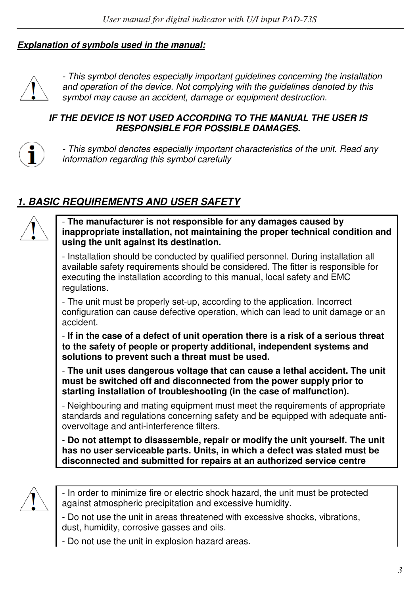#### *Explanation of symbols used in the manual:*



- This symbol denotes especially important guidelines concerning the installation and operation of the device. Not complying with the guidelines denoted by this symbol may cause an accident, damage or equipment destruction.

#### *IF THE DEVICE IS NOT USED ACCORDING TO THE MANUAL THE USER IS RESPONSIBLE FOR POSSIBLE DAMAGES.*



- This symbol denotes especially important characteristics of the unit. Read any information regarding this symbol carefully

# *1. BASIC REQUIREMENTS AND USER SAFETY*



- **The manufacturer is not responsible for any damages caused by inappropriate installation, not maintaining the proper technical condition and using the unit against its destination.** 

- Installation should be conducted by qualified personnel. During installation all available safety requirements should be considered. The fitter is responsible for executing the installation according to this manual, local safety and EMC regulations.

- The unit must be properly set-up, according to the application. Incorrect configuration can cause defective operation, which can lead to unit damage or an accident.

- **If in the case of a defect of unit operation there is a risk of a serious threat to the safety of people or property additional, independent systems and solutions to prevent such a threat must be used.**

- **The unit uses dangerous voltage that can cause a lethal accident. The unit must be switched off and disconnected from the power supply prior to starting installation of troubleshooting (in the case of malfunction).**

- Neighbouring and mating equipment must meet the requirements of appropriate standards and regulations concerning safety and be equipped with adequate antiovervoltage and anti-interference filters.

- **Do not attempt to disassemble, repair or modify the unit yourself. The unit has no user serviceable parts. Units, in which a defect was stated must be disconnected and submitted for repairs at an authorized service centre** 



- In order to minimize fire or electric shock hazard, the unit must be protected against atmospheric precipitation and excessive humidity.

- Do not use the unit in areas threatened with excessive shocks, vibrations, dust, humidity, corrosive gasses and oils.

- Do not use the unit in explosion hazard areas.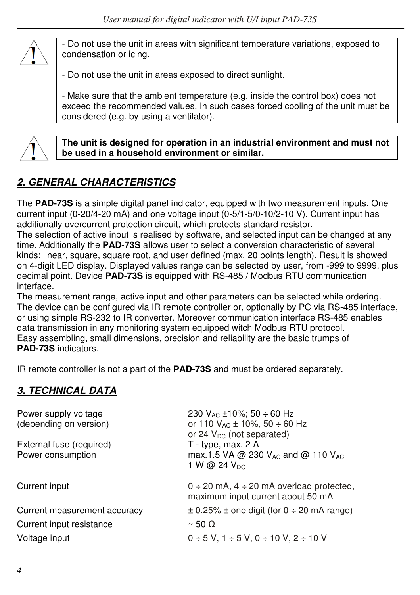

- Do not use the unit in areas with significant temperature variations, exposed to condensation or icing.

- Do not use the unit in areas exposed to direct sunlight.

- Make sure that the ambient temperature (e.g. inside the control box) does not exceed the recommended values. In such cases forced cooling of the unit must be considered (e.g. by using a ventilator).



**The unit is designed for operation in an industrial environment and must not be used in a household environment or similar.** 

# *2. GENERAL CHARACTERISTICS*

The **PAD-73S** is a simple digital panel indicator, equipped with two measurement inputs. One current input (0-20/4-20 mA) and one voltage input (0-5/1-5/0-10/2-10 V). Current input has additionally overcurrent protection circuit, which protects standard resistor.

The selection of active input is realised by software, and selected input can be changed at any time. Additionally the **PAD-73S** allows user to select a conversion characteristic of several kinds: linear, square, square root, and user defined (max. 20 points length). Result is showed on 4-digit LED display. Displayed values range can be selected by user, from -999 to 9999, plus decimal point. Device **PAD-73S** is equipped with RS-485 / Modbus RTU communication interface.

The measurement range, active input and other parameters can be selected while ordering. The device can be configured via IR remote controller or, optionally by PC via RS-485 interface, or using simple RS-232 to IR converter. Moreover communication interface RS-485 enables data transmission in any monitoring system equipped witch Modbus RTU protocol. Easy assembling, small dimensions, precision and reliability are the basic trumps of **PAD-73S** indicators.

IR remote controller is not a part of the **PAD-73S** and must be ordered separately.

# *3. TECHNICAL DATA*

| Power supply voltage<br>(depending on version) | 230 $V_{AC}$ ±10%; 50 ÷ 60 Hz<br>or 110 $V_{AC}$ ± 10%, 50 ÷ 60 Hz<br>or 24 $V_{DC}$ (not separated)  |
|------------------------------------------------|-------------------------------------------------------------------------------------------------------|
| External fuse (required)<br>Power consumption  | T - type, max. 2 A<br>max.1.5 VA @ 230 V <sub>AC</sub> and @ 110 V <sub>AC</sub><br>1 W @ 24 $V_{DC}$ |
| Current input                                  | $0 \div 20$ mA, $4 \div 20$ mA overload protected,                                                    |
|                                                | maximum input current about 50 mA                                                                     |
| Current measurement accuracy                   | $\pm$ 0.25% $\pm$ one digit (for 0 $\div$ 20 mA range)                                                |
| Current input resistance                       | $\sim$ 50 $\Omega$                                                                                    |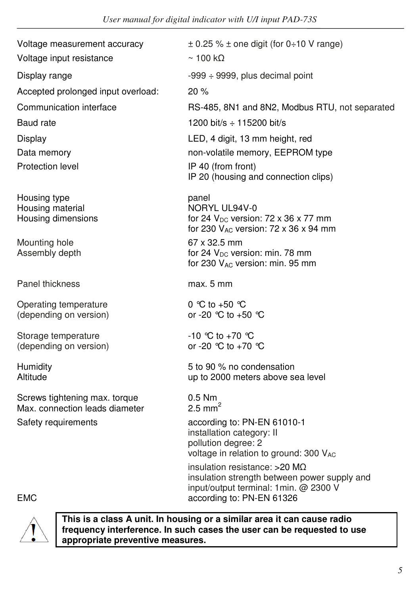| Voltage measurement accuracy                                    | $\pm$ 0.25 % $\pm$ one digit (for 0÷10 V range)                                                                                  |
|-----------------------------------------------------------------|----------------------------------------------------------------------------------------------------------------------------------|
| Voltage input resistance                                        | $\sim$ 100 kQ                                                                                                                    |
| Display range                                                   | $-999 \div 9999$ , plus decimal point                                                                                            |
| Accepted prolonged input overload:                              | 20%                                                                                                                              |
| Communication interface                                         | RS-485, 8N1 and 8N2, Modbus RTU, not separated                                                                                   |
| Baud rate                                                       | 1200 bit/s $\div$ 115200 bit/s                                                                                                   |
| Display                                                         | LED, 4 digit, 13 mm height, red                                                                                                  |
| Data memory                                                     | non-volatile memory, EEPROM type                                                                                                 |
| Protection level                                                | IP 40 (from front)<br>IP 20 (housing and connection clips)                                                                       |
| Housing type<br>Housing material<br>Housing dimensions          | panel<br>NORYL UL94V-0<br>for 24 $V_{DC}$ version: 72 x 36 x 77 mm<br>for 230 $V_{AC}$ version: 72 x 36 x 94 mm                  |
| Mounting hole<br>Assembly depth                                 | 67 x 32.5 mm<br>for 24 V <sub>DC</sub> version: min. 78 mm<br>for 230 VAC version: min. 95 mm                                    |
| <b>Panel thickness</b>                                          | max. 5 mm                                                                                                                        |
| Operating temperature<br>(depending on version)                 | 0 °C to +50 °C<br>or -20 ℃ to +50 ℃                                                                                              |
| Storage temperature<br>(depending on version)                   | $-10$ °C to $+70$ °C<br>or -20 $^{\circ}$ C to +70 $^{\circ}$ C                                                                  |
| Humidity<br>Altitude                                            | 5 to 90 % no condensation<br>up to 2000 meters above sea level                                                                   |
| Screws tightening max. torque<br>Max. connection leads diameter | $0.5$ Nm<br>2.5 mm <sup>2</sup>                                                                                                  |
| Safety requirements                                             | according to: PN-EN 61010-1<br>installation category: II<br>pollution degree: 2<br>voltage in relation to ground: 300 VAC        |
| <b>EMC</b>                                                      | insulation resistance: $>20$ M $\Omega$<br>insulation strength between power supply and<br>input/output terminal: 1min. @ 2300 V |
|                                                                 | according to: PN-EN 61326<br>- 11                                                                                                |

**This is a class A unit. In housing or a similar area it can cause radio frequency interference. In such cases the user can be requested to use appropriate preventive measures.**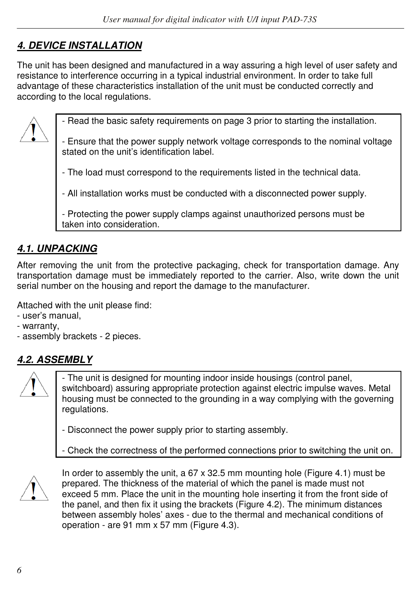# *4. DEVICE INSTALLATION*

The unit has been designed and manufactured in a way assuring a high level of user safety and resistance to interference occurring in a typical industrial environment. In order to take full advantage of these characteristics installation of the unit must be conducted correctly and according to the local regulations.



- Read the basic safety requirements on page 3 prior to starting the installation.

- Ensure that the power supply network voltage corresponds to the nominal voltage stated on the unit's identification label.

- The load must correspond to the requirements listed in the technical data.

- All installation works must be conducted with a disconnected power supply.

- Protecting the power supply clamps against unauthorized persons must be taken into consideration.

# *4.1. UNPACKING*

After removing the unit from the protective packaging, check for transportation damage. Any transportation damage must be immediately reported to the carrier. Also, write down the unit serial number on the housing and report the damage to the manufacturer.

Attached with the unit please find:

- user's manual,
- warranty,
- assembly brackets 2 pieces.

# *4.2. ASSEMBLY*



- The unit is designed for mounting indoor inside housings (control panel, switchboard) assuring appropriate protection against electric impulse waves. Metal housing must be connected to the grounding in a way complying with the governing regulations.

- Disconnect the power supply prior to starting assembly.
- Check the correctness of the performed connections prior to switching the unit on.



In order to assembly the unit, a 67 x 32.5 mm mounting hole (Figure 4.1) must be prepared. The thickness of the material of which the panel is made must not exceed 5 mm. Place the unit in the mounting hole inserting it from the front side of the panel, and then fix it using the brackets (Figure 4.2). The minimum distances between assembly holes' axes - due to the thermal and mechanical conditions of operation - are 91 mm x 57 mm (Figure 4.3).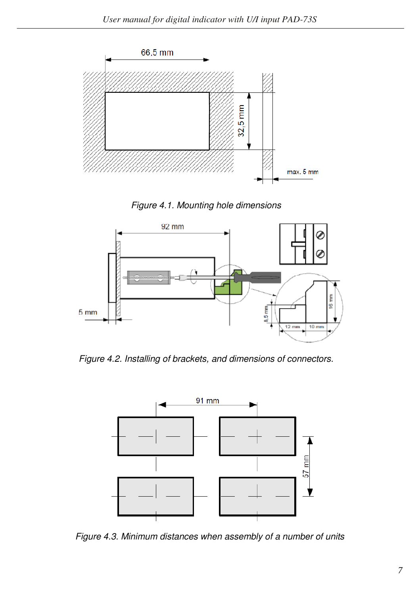





Figure 4.2. Installing of brackets, and dimensions of connectors.



Figure 4.3. Minimum distances when assembly of a number of units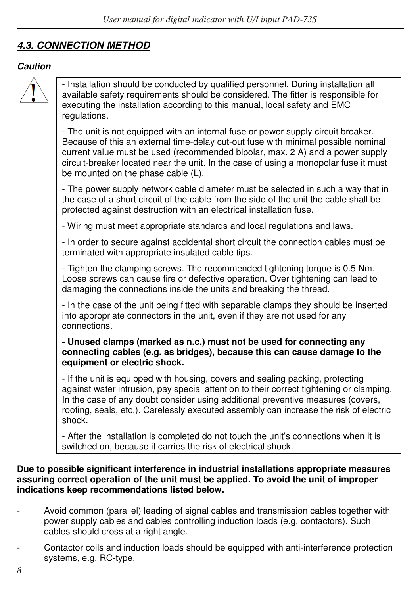## *4.3. CONNECTION METHOD*

#### *Caution*



- Installation should be conducted by qualified personnel. During installation all available safety requirements should be considered. The fitter is responsible for executing the installation according to this manual, local safety and EMC regulations.

- The unit is not equipped with an internal fuse or power supply circuit breaker. Because of this an external time-delay cut-out fuse with minimal possible nominal current value must be used (recommended bipolar, max. 2 A) and a power supply circuit-breaker located near the unit. In the case of using a monopolar fuse it must be mounted on the phase cable (L).

- The power supply network cable diameter must be selected in such a way that in the case of a short circuit of the cable from the side of the unit the cable shall be protected against destruction with an electrical installation fuse.

- Wiring must meet appropriate standards and local regulations and laws.

- In order to secure against accidental short circuit the connection cables must be terminated with appropriate insulated cable tips.

- Tighten the clamping screws. The recommended tightening torque is 0.5 Nm. Loose screws can cause fire or defective operation. Over tightening can lead to damaging the connections inside the units and breaking the thread.

- In the case of the unit being fitted with separable clamps they should be inserted into appropriate connectors in the unit, even if they are not used for any connections.

#### **- Unused clamps (marked as n.c.) must not be used for connecting any connecting cables (e.g. as bridges), because this can cause damage to the equipment or electric shock.**

- If the unit is equipped with housing, covers and sealing packing, protecting against water intrusion, pay special attention to their correct tightening or clamping. In the case of any doubt consider using additional preventive measures (covers, roofing, seals, etc.). Carelessly executed assembly can increase the risk of electric shock.

- After the installation is completed do not touch the unit's connections when it is switched on, because it carries the risk of electrical shock.

#### **Due to possible significant interference in industrial installations appropriate measures assuring correct operation of the unit must be applied. To avoid the unit of improper indications keep recommendations listed below.**

- Avoid common (parallel) leading of signal cables and transmission cables together with power supply cables and cables controlling induction loads (e.g. contactors). Such cables should cross at a right angle.
- Contactor coils and induction loads should be equipped with anti-interference protection systems, e.g. RC-type.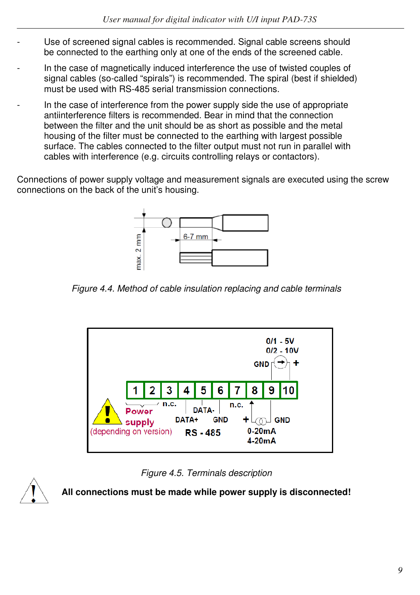- Use of screened signal cables is recommended. Signal cable screens should be connected to the earthing only at one of the ends of the screened cable.
- In the case of magnetically induced interference the use of twisted couples of signal cables (so-called "spirals") is recommended. The spiral (best if shielded) must be used with RS-485 serial transmission connections.
- In the case of interference from the power supply side the use of appropriate antiinterference filters is recommended. Bear in mind that the connection between the filter and the unit should be as short as possible and the metal housing of the filter must be connected to the earthing with largest possible surface. The cables connected to the filter output must not run in parallel with cables with interference (e.g. circuits controlling relays or contactors).

Connections of power supply voltage and measurement signals are executed using the screw connections on the back of the unit's housing.



Figure 4.4. Method of cable insulation replacing and cable terminals



Figure 4.5. Terminals description



**All connections must be made while power supply is disconnected!**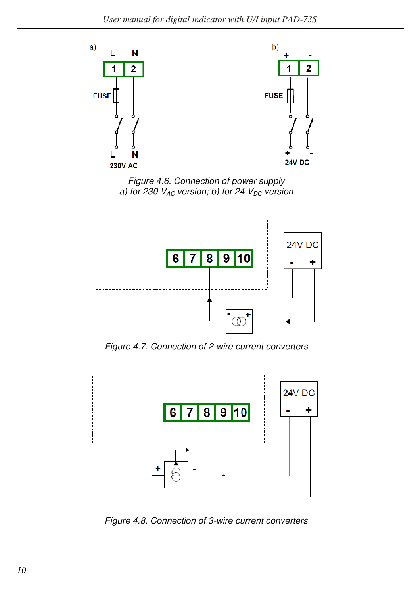

Figure 4.6. Connection of power supply a) for 230  $V_{AC}$  version; b) for 24  $V_{DC}$  version



Figure 4.7. Connection of 2-wire current converters



Figure 4.8. Connection of 3-wire current converters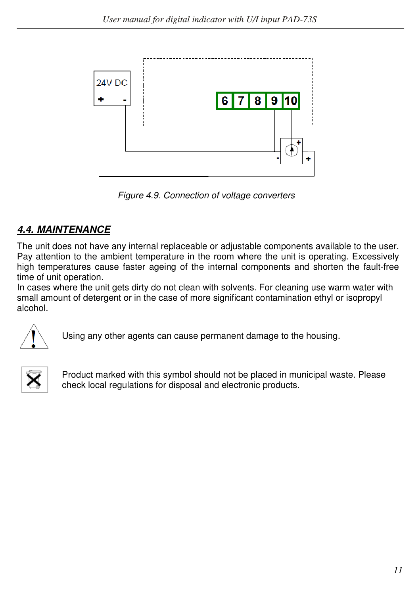

Figure 4.9. Connection of voltage converters

# *4.4. MAINTENANCE*

The unit does not have any internal replaceable or adjustable components available to the user. Pay attention to the ambient temperature in the room where the unit is operating. Excessively high temperatures cause faster ageing of the internal components and shorten the fault-free time of unit operation.

In cases where the unit gets dirty do not clean with solvents. For cleaning use warm water with small amount of detergent or in the case of more significant contamination ethyl or isopropyl alcohol.



Using any other agents can cause permanent damage to the housing.



Product marked with this symbol should not be placed in municipal waste. Please check local regulations for disposal and electronic products.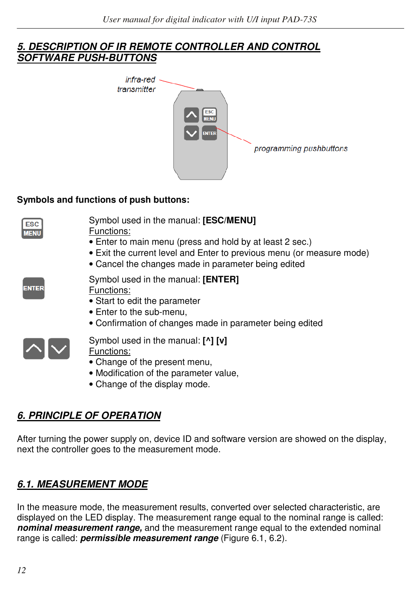#### *5. DESCRIPTION OF IR REMOTE CONTROLLER AND CONTROL SOFTWARE PUSH-BUTTONS*



#### **Symbols and functions of push buttons:**

| <b>ESC</b><br><b>MENU</b> | Symbol used in the manual: [ESC/MENU]<br>Functions:<br>• Enter to main menu (press and hold by at least 2 sec.)<br>• Exit the current level and Enter to previous menu (or measure mode)<br>• Cancel the changes made in parameter being edited |
|---------------------------|-------------------------------------------------------------------------------------------------------------------------------------------------------------------------------------------------------------------------------------------------|
| <b>ENTER</b>              | Symbol used in the manual: [ENTER]<br>Functions:<br>• Start to edit the parameter<br>• Enter to the sub-menu,<br>• Confirmation of changes made in parameter being edited                                                                       |
|                           | Symbol used in the manual: [^] [v]<br>Functions:<br>• Change of the present menu,<br>• Modification of the parameter value,<br>• Change of the display mode.                                                                                    |

# *6. PRINCIPLE OF OPERATION*

After turning the power supply on, device ID and software version are showed on the display, next the controller goes to the measurement mode.

## *6.1. MEASUREMENT MODE*

In the measure mode, the measurement results, converted over selected characteristic, are displayed on the LED display. The measurement range equal to the nominal range is called: *nominal measurement range,* and the measurement range equal to the extended nominal range is called: *permissible measurement range* (Figure 6.1, 6.2).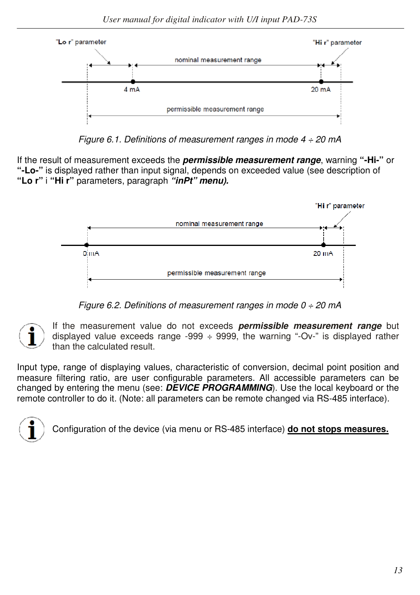

Figure 6.1. Definitions of measurement ranges in mode  $4 \div 20$  mA

If the result of measurement exceeds the *permissible measurement range*, warning **"-Hi-"** or **"-Lo-"** is displayed rather than input signal, depends on exceeded value (see description of **"Lo r"** i **"Hi r"** parameters, paragraph *"inPt" menu).* 



Figure 6.2. Definitions of measurement ranges in mode  $0 \div 20$  mA

If the measurement value do not exceeds *permissible measurement range* but displayed value exceeds range -999  $\div$  9999, the warning "-Ov-" is displayed rather than the calculated result.

Input type, range of displaying values, characteristic of conversion, decimal point position and measure filtering ratio, are user configurable parameters. All accessible parameters can be changed by entering the menu (see: *DEVICE PROGRAMMING*). Use the local keyboard or the remote controller to do it. (Note: all parameters can be remote changed via RS-485 interface).



Configuration of the device (via menu or RS-485 interface) **do not stops measures.**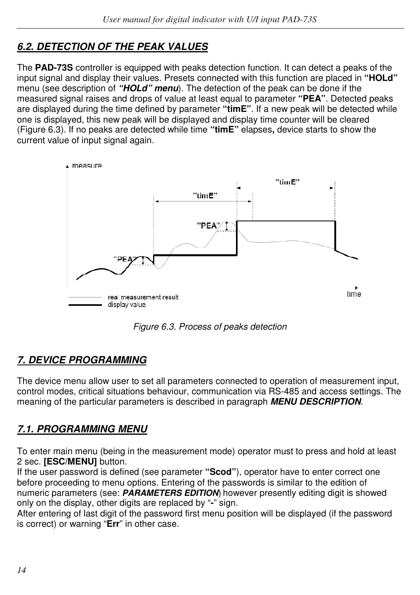# *6.2. DETECTION OF THE PEAK VALUES*

The **PAD-73S** controller is equipped with peaks detection function. It can detect a peaks of the input signal and display their values. Presets connected with this function are placed in **"HOLd"**  menu (see description of *"HOLd" menu*). The detection of the peak can be done if the measured signal raises and drops of value at least equal to parameter **"PEA"**. Detected peaks are displayed during the time defined by parameter **"timE"**. If a new peak will be detected while one is displayed, this new peak will be displayed and display time counter will be cleared (Figure 6.3). If no peaks are detected while time **"timE"** elapses**,** device starts to show the current value of input signal again.



Figure 6.3. Process of peaks detection

# *7. DEVICE PROGRAMMING*

The device menu allow user to set all parameters connected to operation of measurement input, control modes, critical situations behaviour, communication via RS-485 and access settings. The meaning of the particular parameters is described in paragraph *MENU DESCRIPTION*.

# *7.1. PROGRAMMING MENU*

To enter main menu (being in the measurement mode) operator must to press and hold at least 2 sec. **[ESC/MENU]** button.

If the user password is defined (see parameter **"Scod"**), operator have to enter correct one before proceeding to menu options. Entering of the passwords is similar to the edition of numeric parameters (see: *PARAMETERS EDITION*), however presently editing digit is showed only on the display, other digits are replaced by "**-**" sign.

After entering of last digit of the password first menu position will be displayed (if the password is correct) or warning "**Err**" in other case.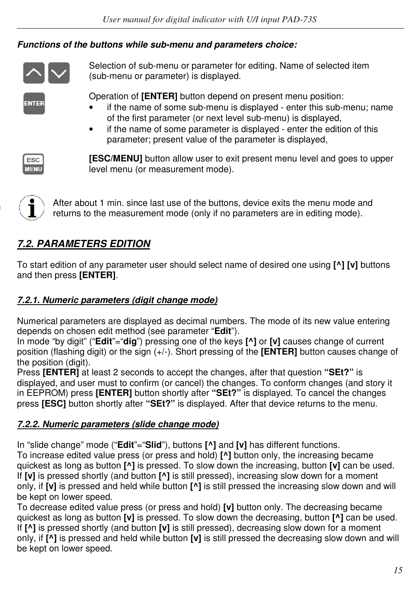## *Functions of the buttons while sub-menu and parameters choice:*



Selection of sub-menu or parameter for editing. Name of selected item (sub-menu or parameter) is displayed.

Operation of **[ENTER]** button depend on present menu position:

- if the name of some sub-menu is displayed enter this sub-menu; name of the first parameter (or next level sub-menu) is displayed,
- if the name of some parameter is displayed enter the edition of this parameter; present value of the parameter is displayed,



**NTFR** 

**[ESC/MENU]** button allow user to exit present menu level and goes to upper level menu (or measurement mode).



After about 1 min. since last use of the buttons, device exits the menu mode and returns to the measurement mode (only if no parameters are in editing mode).

# *7.2. PARAMETERS EDITION*

To start edition of any parameter user should select name of desired one using **[^] [v]** buttons and then press **[ENTER]**.

# *7.2.1. Numeric parameters (digit change mode)*

Numerical parameters are displayed as decimal numbers. The mode of its new value entering depends on chosen edit method (see parameter "**Edit**").

In mode "by digit" ("**Edit**"="**dig**") pressing one of the keys **[^]** or **[v]** causes change of current position (flashing digit) or the sign (+/-). Short pressing of the **[ENTER]** button causes change of the position (digit).

Press **[ENTER]** at least 2 seconds to accept the changes, after that question **"SEt?"** is displayed, and user must to confirm (or cancel) the changes. To conform changes (and story it in EEPROM) press **[ENTER]** button shortly after **"SEt?"** is displayed. To cancel the changes press **[ESC]** button shortly after **"SEt?"** is displayed. After that device returns to the menu.

# *7.2.2. Numeric parameters (slide change mode)*

In "slide change" mode ("**Edit**"="**Slid**"), buttons **[^]** and **[v]** has different functions. To increase edited value press (or press and hold) **[^]** button only, the increasing became quickest as long as button **[^]** is pressed. To slow down the increasing, button **[v]** can be used. If **[v]** is pressed shortly (and button **[^]** is still pressed), increasing slow down for a moment only, if **[v]** is pressed and held while button **[^]** is still pressed the increasing slow down and will be kept on lower speed.

To decrease edited value press (or press and hold) **[v]** button only. The decreasing became quickest as long as button **[v]** is pressed. To slow down the decreasing, button **[^]** can be used. If **[^]** is pressed shortly (and button **[v]** is still pressed), decreasing slow down for a moment only, if **[^]** is pressed and held while button **[v]** is still pressed the decreasing slow down and will be kept on lower speed.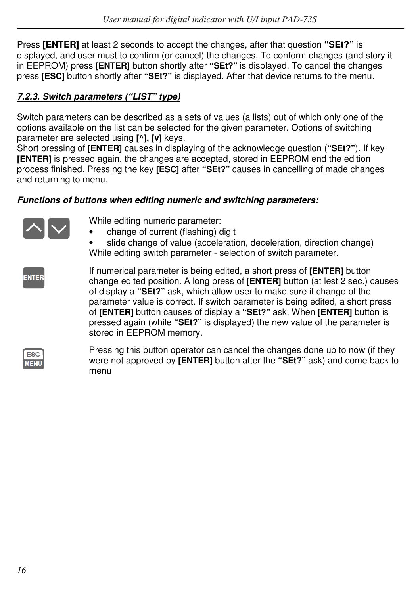Press **[ENTER]** at least 2 seconds to accept the changes, after that question **"SEt?"** is displayed, and user must to confirm (or cancel) the changes. To conform changes (and story it in EEPROM) press **[ENTER]** button shortly after **"SEt?"** is displayed. To cancel the changes press **[ESC]** button shortly after **"SEt?"** is displayed. After that device returns to the menu.

#### *7.2.3. Switch parameters ("LIST" type)*

Switch parameters can be described as a sets of values (a lists) out of which only one of the options available on the list can be selected for the given parameter. Options of switching parameter are selected using **[^], [v]** keys.

Short pressing of **[ENTER]** causes in displaying of the acknowledge question (**"SEt?"**). If key **[ENTER]** is pressed again, the changes are accepted, stored in EEPROM end the edition process finished. Pressing the key **[ESC]** after **"SEt?"** causes in cancelling of made changes and returning to menu.

#### *Functions of buttons when editing numeric and switching parameters:*



While editing numeric parameter:

- change of current (flashing) digit
- slide change of value (acceleration, deceleration, direction change) While editing switch parameter - selection of switch parameter.

**ENTER** 

If numerical parameter is being edited, a short press of **[ENTER]** button change edited position. A long press of **[ENTER]** button (at lest 2 sec.) causes of display a **"SEt?"** ask, which allow user to make sure if change of the parameter value is correct. If switch parameter is being edited, a short press of **[ENTER]** button causes of display a **"SEt?"** ask. When **[ENTER]** button is pressed again (while **"SEt?"** is displayed) the new value of the parameter is stored in EEPROM memory.

| -<br>٠ |
|--------|

Pressing this button operator can cancel the changes done up to now (if they were not approved by **[ENTER]** button after the **"SEt?"** ask) and come back to menu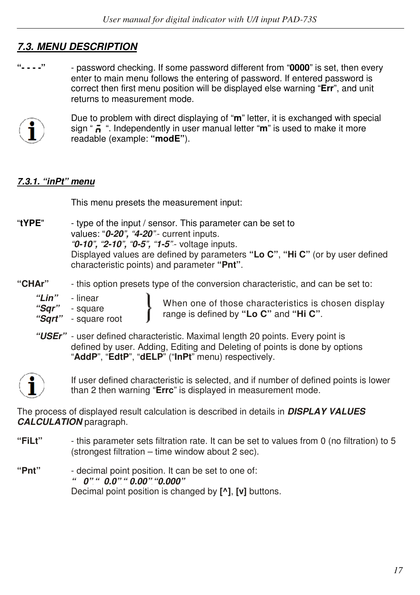# *7.3. MENU DESCRIPTION*

**"- - - -"** - password checking. If some password different from "**0000**" is set, then every enter to main menu follows the entering of password. If entered password is correct then first menu position will be displayed else warning "**Err**", and unit returns to measurement mode.



 Due to problem with direct displaying of "**m**" letter, it is exchanged with special sign " ". Independently in user manual letter "**m**" is used to make it more readable (example: **"modE"**).

#### *7.3.1. "inPt" menu*

This menu presets the measurement input:

"**tYPE**" - type of the input / sensor. This parameter can be set to values: "*0-20*"*,* "*4-20*"" - current inputs. "*0-10*"*,* "*2-10*"*,* "*0-5*"*,* "*1-5*"" - voltage inputs. Displayed values are defined by parameters **"Lo C"**, **"Hi C"** (or by user defined characteristic points) and parameter **"Pnt"**.

**"CHAr"** - this option presets type of the conversion characteristic, and can be set to:

| "Lin" | - linear |
|-------|----------|
| "Sqr" | - square |

When one of those characteristics is chosen display range is defined by **"Lo C"** and **"Hi C"**.

- *"Sqrt"*  square root
- *"USEr"*  user defined characteristic. Maximal length 20 points. Every point is defined by user. Adding, Editing and Deleting of points is done by options "**AddP**", "**EdtP**", "**dELP**" ("**InPt**" menu) respectively.



If user defined characteristic is selected, and if number of defined points is lower than 2 then warning "**Errc**" is displayed in measurement mode.

The process of displayed result calculation is described in details in *DISPLAY VALUES CALCULATION* paragraph.

- **"FiLt"**  this parameter sets filtration rate. It can be set to values from 0 (no filtration) to 5 (strongest filtration – time window about 2 sec).
- **"Pnt"**  decimal point position. It can be set to one of:  *" 0"*, *" 0.0"*, *" 0.00"*, *"0.000"*  Decimal point position is changed by **[^]**, **[v]** buttons.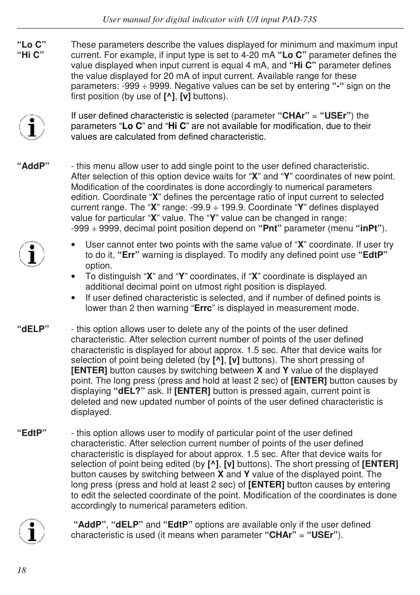**"Lo C"** These parameters describe the values displayed for minimum and maximum input **"Hi C"** current. For example, if input type is set to 4-20 mA **"Lo C"** parameter defines the value displayed when input current is equal 4 mA, and **"Hi C"** parameter defines the value displayed for 20 mA of input current. Available range for these parameters: -999 ÷ 9999. Negative values can be set by entering **"-"** sign on the first position (by use of **[^]**, **[v]** buttons).



If user defined characteristic is selected (parameter **"CHAr"** = **"USEr"**) the parameters "**Lo C**" and "**Hi C**" are not available for modification, due to their values are calculated from defined characteristic.

**"AddP"** - this menu allow user to add single point to the user defined characteristic. After selection of this option device waits for "**X**" and "**Y**" coordinates of new point. Modification of the coordinates is done accordingly to numerical parameters edition. Coordinate "**X**" defines the percentage ratio of input current to selected current range. The "**X**" range: -99.9 ÷ 199.9. Coordinate "**Y**" defines displayed value for particular "**X**" value. The "**Y**" value can be changed in range: -999 ÷ 9999, decimal point position depend on **"Pnt"** parameter (menu **"inPt"**).



- User cannot enter two points with the same value of "**X**" coordinate. If user try to do it, **"Err"** warning is displayed. To modify any defined point use **"EdtP"**  option.
- To distinguish "**X**" and "**Y**" coordinates, if "**X**" coordinate is displayed an additional decimal point on utmost right position is displayed.
- If user defined characteristic is selected, and if number of defined points is lower than 2 then warning "**Errc**" is displayed in measurement mode.
- **"dELP"**  this option allows user to delete any of the points of the user defined characteristic. After selection current number of points of the user defined characteristic is displayed for about approx. 1.5 sec. After that device waits for selection of point being deleted (by **[^]**, **[v]** buttons). The short pressing of **[ENTER]** button causes by switching between **X** and **Y** value of the displayed point. The long press (press and hold at least 2 sec) of **[ENTER]** button causes by displaying **"dEL?"** ask. If **[ENTER]** button is pressed again, current point is deleted and new updated number of points of the user defined characteristic is displayed.
- **"EdtP"**  this option allows user to modify of particular point of the user defined characteristic. After selection current number of points of the user defined characteristic is displayed for about approx. 1.5 sec. After that device waits for selection of point being edited (by **[^]**, **[v]** buttons). The short pressing of **[ENTER]**  button causes by switching between **X** and **Y** value of the displayed point. The long press (press and hold at least 2 sec) of **[ENTER]** button causes by entering to edit the selected coordinate of the point. Modification of the coordinates is done accordingly to numerical parameters edition.



 **"AddP"**, **"dELP"** and **"EdtP"** options are available only if the user defined characteristic is used (it means when parameter **"CHAr"** = **"USEr"**).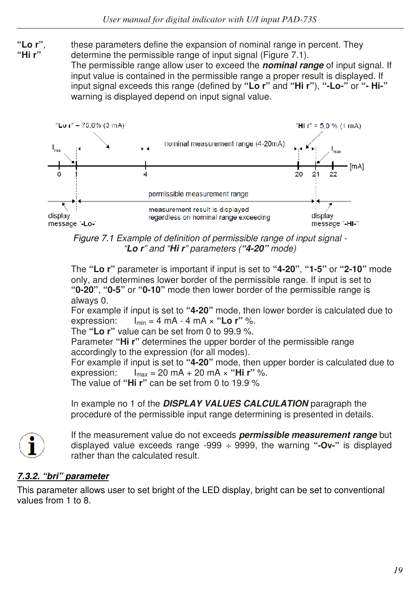**"Lo r"**, these parameters define the expansion of nominal range in percent. They **"Hi r"** determine the permissible range of input signal (Figure 7.1). The permissible range allow user to exceed the *nominal range* of input signal. If input value is contained in the permissible range a proper result is displayed. If

input signal exceeds this range (defined by **"Lo r"** and **"Hi r"**), **"-Lo-"** or **"- Hi-"**  warning is displayed depend on input signal value.



Figure 7.1 Example of definition of permissible range of input signal - "*Lo r*" and "*Hi r*" parameters (*"4-20"* mode)

The **"Lo r"** parameter is important if input is set to **"4-20"**, **"1-5"** or **"2-10"** mode only, and determines lower border of the permissible range. If input is set to **"0-20"**, **"0-5"** or **"0-10"** mode then lower border of the permissible range is always 0.

For example if input is set to **"4-20"** mode, then lower border is calculated due to expression:  $I_{\min} = 4 \text{ mA} - 4 \text{ mA} \times \text{``Lo r''}\%$ .

The **"Lo r"** value can be set from 0 to 99.9 %.

Parameter **"Hi r"** determines the upper border of the permissible range accordingly to the expression (for all modes).

For example if input is set to **"4-20"** mode, then upper border is calculated due to expression:  $I_{max} = 20 \text{ mA} + 20 \text{ mA} \times \text{``Hi r'' } \%$ .

The value of **"Hi r"** can be set from 0 to 19.9 %

In example no 1 of the *DISPLAY VALUES CALCULATION* paragraph the procedure of the permissible input range determining is presented in details.



If the measurement value do not exceeds *permissible measurement range* but displayed value exceeds range -999 ÷ 9999, the warning **"-Ov-"** is displayed rather than the calculated result.

#### *7.3.2. "bri" parameter*

This parameter allows user to set bright of the LED display, bright can be set to conventional values from 1 to 8.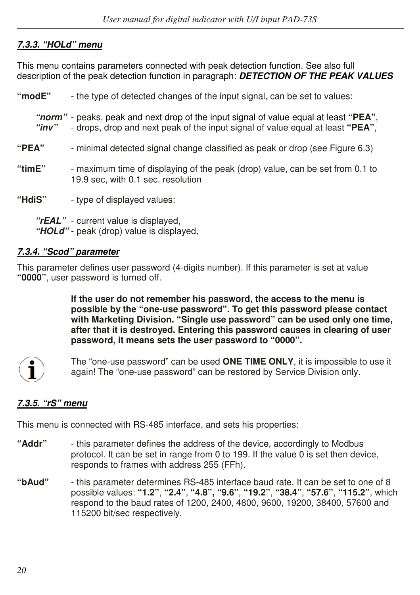#### *7.3.3. "HOLd" menu*

This menu contains parameters connected with peak detection function. See also full description of the peak detection function in paragraph: *DETECTION OF THE PEAK VALUES* 

| "modE"     | - the type of detected changes of the input signal, can be set to values:                                                                                               |
|------------|-------------------------------------------------------------------------------------------------------------------------------------------------------------------------|
| "inv"      | "norm" - peaks, peak and next drop of the input signal of value equal at least "PEA",<br>- drops, drop and next peak of the input signal of value equal at least "PEA", |
| "PEA"      | - minimal detected signal change classified as peak or drop (see Figure 6.3)                                                                                            |
| "tim $E$ " | - maximum time of displaying of the peak (drop) value, can be set from 0.1 to<br>19.9 sec. with 0.1 sec. resolution                                                     |
| "HdiS"     | - type of displayed values:                                                                                                                                             |
|            | "rEAL" - current value is displayed,<br>"HOLd" - peak (drop) value is displayed,                                                                                        |

#### *7.3.4. "Scod" parameter*

This parameter defines user password (4-digits number). If this parameter is set at value **"0000"**, user password is turned off.

> **If the user do not remember his password, the access to the menu is possible by the "one-use password". To get this password please contact with Marketing Division. "Single use password" can be used only one time, after that it is destroyed. Entering this password causes in clearing of user password, it means sets the user password to "0000".**



The "one-use password" can be used **ONE TIME ONLY**, it is impossible to use it again! The "one-use password" can be restored by Service Division only.

#### *7.3.5. "rS" menu*

This menu is connected with RS-485 interface, and sets his properties:

- **"Addr"**  this parameter defines the address of the device, accordingly to Modbus protocol. It can be set in range from 0 to 199. If the value 0 is set then device, responds to frames with address 255 (FFh).
- **"bAud"** this parameter determines RS-485 interface baud rate. It can be set to one of 8 possible values: **"1.2"**, **"2.4"**, **"4.8", "9.6"**, **"19.2"**, **"38.4"**, **"57.6"**, **"115.2"**, which respond to the baud rates of 1200, 2400, 4800, 9600, 19200, 38400, 57600 and 115200 bit/sec respectively.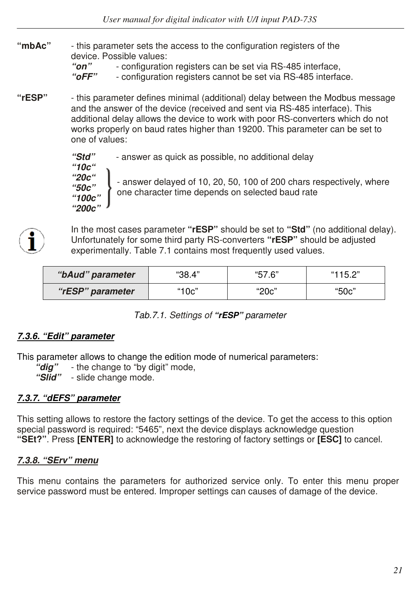**"mbAc"** - this parameter sets the access to the configuration registers of the device. Possible values:

*"on"* - configuration registers can be set via RS-485 interface,

*"oFF"* - configuration registers cannot be set via RS-485 interface.

**"rESP"** - this parameter defines minimal (additional) delay between the Modbus message and the answer of the device (received and sent via RS-485 interface). This additional delay allows the device to work with poor RS-converters which do not works properly on baud rates higher than 19200. This parameter can be set to one of values:

> *"Std"* - answer as quick as possible, no additional delay *"10c" "20c" "50c" "100c" "200c"* - answer delayed of 10, 20, 50, 100 of 200 chars respectively, where one character time depends on selected baud rate



In the most cases parameter **"rESP"** should be set to **"Std"** (no additional delay). Unfortunately for some third party RS-converters **"rESP"** should be adjusted experimentally. Table 7.1 contains most frequently used values.

| "bAud" parameter | "38.4" | "57.6" | "115.2" |
|------------------|--------|--------|---------|
| "rESP" parameter | "10c"  | "20c"  | "50c"   |

Tab.7.1. Settings of *"rESP"* parameter

#### *7.3.6. "Edit" parameter*

This parameter allows to change the edition mode of numerical parameters:

 *"dig"* - the change to "by digit" mode,

 *"Slid"* - slide change mode.

#### *7.3.7. "dEFS" parameter*

This setting allows to restore the factory settings of the device. To get the access to this option special password is required: "5465", next the device displays acknowledge question **"SEt?"**. Press **[ENTER]** to acknowledge the restoring of factory settings or **[ESC]** to cancel.

#### *7.3.8. "SErv" menu*

This menu contains the parameters for authorized service only. To enter this menu proper service password must be entered. Improper settings can causes of damage of the device.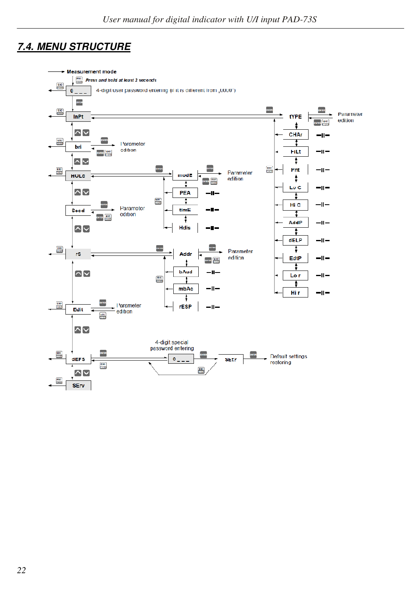# *7.4. MENU STRUCTURE*

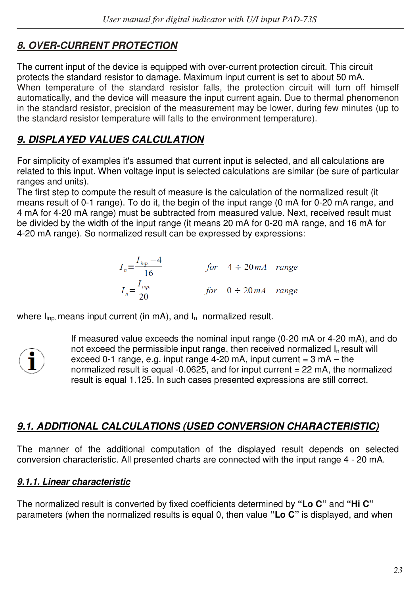# *8. OVER-CURRENT PROTECTION*

The current input of the device is equipped with over-current protection circuit. This circuit protects the standard resistor to damage. Maximum input current is set to about 50 mA. When temperature of the standard resistor falls, the protection circuit will turn off himself automatically, and the device will measure the input current again. Due to thermal phenomenon in the standard resistor, precision of the measurement may be lower, during few minutes (up to the standard resistor temperature will falls to the environment temperature).

## *9. DISPLAYED VALUES CALCULATION*

For simplicity of examples it's assumed that current input is selected, and all calculations are related to this input. When voltage input is selected calculations are similar (be sure of particular ranges and units).

The first step to compute the result of measure is the calculation of the normalized result (it means result of 0-1 range). To do it, the begin of the input range (0 mA for 0-20 mA range, and 4 mA for 4-20 mA range) must be subtracted from measured value. Next, received result must be divided by the width of the input range (it means 20 mA for 0-20 mA range, and 16 mA for 4-20 mA range). So normalized result can be expressed by expressions:

$$
I_n = \frac{I_{inp.} - 4}{16}
$$
 for  $4 \div 20mA$  range  

$$
I_n = \frac{I_{inp.}}{20}
$$
 for  $0 \div 20mA$  range

where  $I_{\text{inn}}$  means input current (in mA), and  $I_{\text{n}}$ -normalized result.



If measured value exceeds the nominal input range (0-20 mA or 4-20 mA), and do not exceed the permissible input range, then received normalized  $I<sub>n</sub>$  result will exceed 0-1 range, e.g. input range  $4-20$  mA, input current =  $3$  mA – the normalized result is equal -0.0625, and for input current = 22 mA, the normalized result is equal 1.125. In such cases presented expressions are still correct.

# *9.1. ADDITIONAL CALCULATIONS (USED CONVERSION CHARACTERISTIC)*

The manner of the additional computation of the displayed result depends on selected conversion characteristic. All presented charts are connected with the input range 4 - 20 mA.

#### *9.1.1. Linear characteristic*

The normalized result is converted by fixed coefficients determined by **"Lo C"** and **"Hi C"**  parameters (when the normalized results is equal 0, then value **"Lo C"** is displayed, and when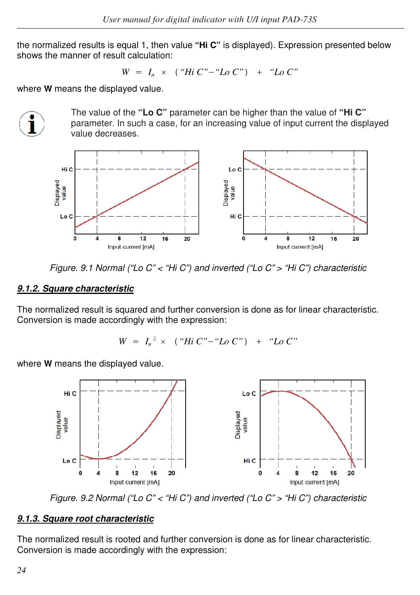the normalized results is equal 1, then value **"Hi C"** is displayed). Expression presented below shows the manner of result calculation:

 $W = I_n \times (Hi C - Ho C^n) + Ho C^n$ 

where **W** means the displayed value.



The value of the **"Lo C"** parameter can be higher than the value of **"Hi C"**  parameter. In such a case, for an increasing value of input current the displayed value decreases.



Figure. 9.1 Normal ("Lo C" < "Hi C") and inverted ("Lo C" > "Hi C") characteristic

#### *9.1.2. Square characteristic*

The normalized result is squared and further conversion is done as for linear characteristic. Conversion is made accordingly with the expression:

$$
W = I_n^2 \times (``Hi C'' - "Lo C") + "Lo C"
$$

where **W** means the displayed value.



Figure. 9.2 Normal ("Lo C" < "Hi C") and inverted ("Lo C" > "Hi C") characteristic

#### *9.1.3. Square root characteristic*

The normalized result is rooted and further conversion is done as for linear characteristic. Conversion is made accordingly with the expression: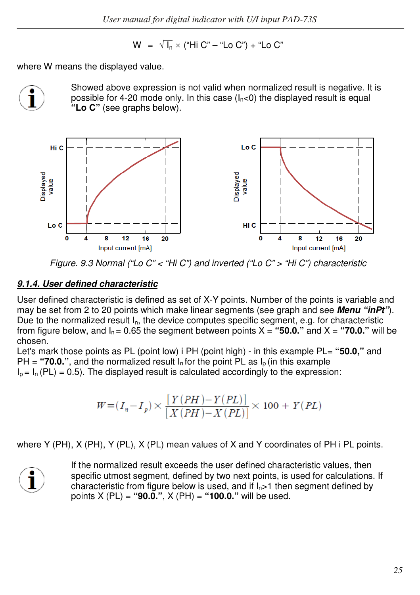$$
W = \sqrt{I_n} \times ("Hi C" - "Lo C") + "Lo C"
$$

where W means the displayed value.



Showed above expression is not valid when normalized result is negative. It is possible for 4-20 mode only. In this case  $(I_n < 0)$  the displayed result is equal **"Lo C"** (see graphs below).



Figure. 9.3 Normal ("Lo C" < "Hi C") and inverted ("Lo C" > "Hi C") characteristic

#### *9.1.4. User defined characteristic*

User defined characteristic is defined as set of X-Y points. Number of the points is variable and may be set from 2 to 20 points which make linear segments (see graph and see *Menu "inPt"*). Due to the normalized result In, the device computes specific segment, e.g. for characteristic from figure below, and  $I_n = 0.65$  the segment between points  $X =$  "50.0." and  $X =$  "70.0." will be chosen.

Let's mark those points as PL (point low) i PH (point high) - in this example PL= **"50.0,"** and  $PH = "70.0."$ , and the normalized result  $I_n$  for the point PL as  $I_p$  (in this example  $I_p = I_n (PL) = 0.5$ ). The displayed result is calculated accordingly to the expression:

$$
W = (I_n - I_p) \times \frac{\left[ Y(PH) - Y(PL) \right]}{\left[ X(PH) - X(PL) \right]} \times 100 + Y(PL)
$$

where Y (PH), X (PH), Y (PL), X (PL) mean values of X and Y coordinates of PH i PL points.



If the normalized result exceeds the user defined characteristic values, then specific utmost segment, defined by two next points, is used for calculations. If characteristic from figure below is used, and if  $I_n > 1$  then segment defined by points X (PL) = **"90.0."**, X (PH) = **"100.0."** will be used.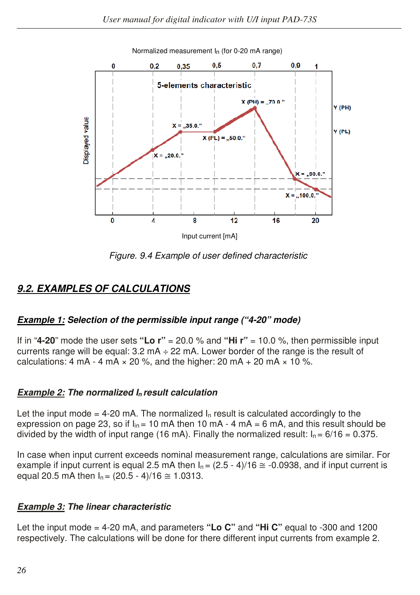

Normalized measurement In (for 0-20 mA range)

Figure. 9.4 Example of user defined characteristic

## *9.2. EXAMPLES OF CALCULATIONS*

#### *Example 1: Selection of the permissible input range ("4-20" mode)*

If in "**4-20**" mode the user sets **"Lo r"** = 20.0 % and **"Hi r"** = 10.0 %, then permissible input currents range will be equal:  $3.2 \text{ mA} \div 22 \text{ mA}$ . Lower border of the range is the result of calculations: 4 mA - 4 mA  $\times$  20 %, and the higher: 20 mA + 20 mA  $\times$  10 %.

#### *Example 2: The normalized I<sup>n</sup> result calculation*

Let the input mode = 4-20 mA. The normalized  $I_n$  result is calculated accordingly to the expression on page 23, so if  $I_{in}$  = 10 mA then 10 mA - 4 mA = 6 mA, and this result should be divided by the width of input range (16 mA). Finally the normalized result:  $I_n = 6/16 = 0.375$ .

In case when input current exceeds nominal measurement range, calculations are similar. For example if input current is equal 2.5 mA then  $I<sub>n</sub> = (2.5 - 4)/16 \approx -0.0938$ , and if input current is equal 20.5 mA then  $I_n = (20.5 - 4)/16 \approx 1.0313$ .

#### *Example 3: The linear characteristic*

Let the input mode = 4-20 mA, and parameters **"Lo C"** and **"Hi C"** equal to -300 and 1200 respectively. The calculations will be done for there different input currents from example 2.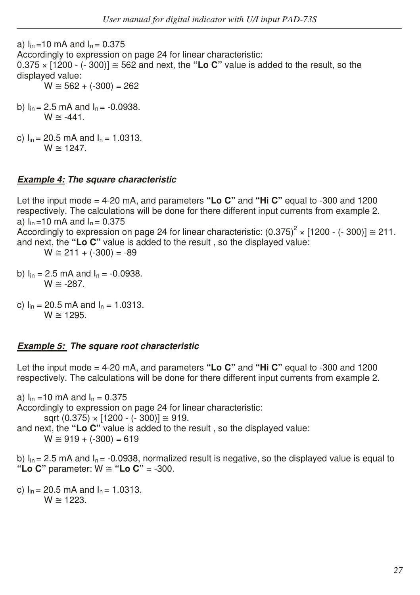a)  $I_{in} = 10$  mA and  $I_{n} = 0.375$ Accordingly to expression on page 24 for linear characteristic:  $0.375 \times 1200$  - (- 300)]  $\approx$  562 and next, the "Lo C" value is added to the result, so the displayed value:  $W \cong 562 + (-300) = 262$ 

- b)  $I_{in}$  = 2.5 mA and  $I_{n}$  = -0.0938.  $W \cong -441$ .
- c)  $I_{in}$  = 20.5 mA and  $I_{n}$  = 1.0313.  $W \approx 1247$

#### *Example 4: The square characteristic*

Let the input mode = 4-20 mA, and parameters **"Lo C"** and **"Hi C"** equal to -300 and 1200 respectively. The calculations will be done for there different input currents from example 2. a)  $I_{in} = 10$  mA and  $I_{n} = 0.375$ Accordingly to expression on page 24 for linear characteristic:  $(0.375)^2 \times [1200 - (-300)] \approx 211$ . and next, the **"Lo C"** value is added to the result , so the displayed value:  $W \cong 211 + (-300) = -89$ 

- b)  $I_{in} = 2.5$  mA and  $I_{n} = -0.0938$ .  $W \cong -287$ .
- c)  $I_{in}$  = 20.5 mA and  $I_{n}$  = 1.0313.  $W \approx 1295$ .

# *Example 5: The square root characteristic*

Let the input mode = 4-20 mA, and parameters **"Lo C"** and **"Hi C"** equal to -300 and 1200 respectively. The calculations will be done for there different input currents from example 2.

a)  $I_{in} = 10$  mA and  $I_{n} = 0.375$ Accordingly to expression on page 24 for linear characteristic: sqrt  $(0.375) \times [1200 - (-300)] \approx 919$ . and next, the **"Lo C"** value is added to the result , so the displayed value:  $W \cong 919 + (-300) = 619$ 

b)  $I_{in}$  = 2.5 mA and  $I_{n}$  = -0.0938, normalized result is negative, so the displayed value is equal to **"Lo C"** parameter: W ≅ **"Lo C"** = -300.

c)  $I_{in}$  = 20.5 mA and  $I_{n}$  = 1.0313.  $W \approx 1223$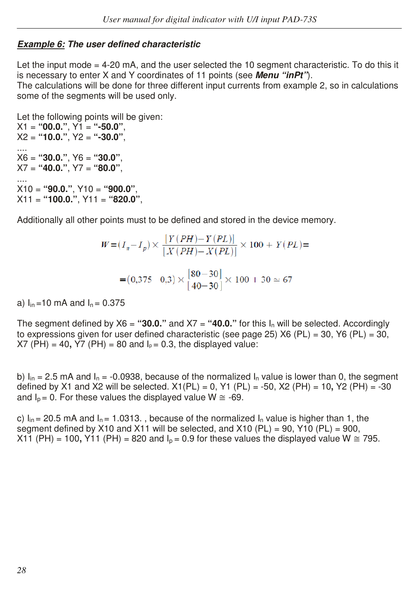#### *Example 6: The user defined characteristic*

Let the input mode = 4-20 mA, and the user selected the 10 segment characteristic. To do this it is necessary to enter X and Y coordinates of 11 points (see *Menu "inPt"*). The calculations will be done for three different input currents from example 2, so in calculations some of the segments will be used only.

Let the following points will be given: X1 = **"00.0."**, Y1 = **"-50.0"**, X2 = **"10.0."**, Y2 = **"-30.0"**, .... X6 = **"30.0."**, Y6 = **"30.0"**, X7 = **"40.0."**, Y7 = **"80.0"**, .... X10 = **"90.0."**, Y10 = **"900.0"**, X11 = **"100.0."**, Y11 = **"820.0"**,

Additionally all other points must to be defined and stored in the device memory.

$$
W = (I_n - I_p) \times \frac{[Y (PH) - Y (PL)]}{[X (PH) - X (PL)]} \times 100 + Y (PL) =
$$
  
= (0,375 - 0,3) \times \frac{[80 - 30]}{[40 - 30]} \times 100 + 30 \approx 67

a)  $I_{in} = 10$  mA and  $I_{n} = 0.375$ 

The segment defined by  $X6 =$  "30.0." and  $X7 =$  "40.0." for this  $I_n$  will be selected. Accordingly to expressions given for user defined characteristic (see page 25) X6 (PL) = 30, Y6 (PL) = 30,  $XT$  (PH) = 40,  $\overline{Y7}$  (PH) = 80 and  $I_p = 0.3$ , the displayed value:

b)  $I_{in}$  = 2.5 mA and  $I_{n}$  = -0.0938, because of the normalized  $I_{n}$  value is lower than 0, the segment defined by X1 and X2 will be selected. X1(PL) = 0, Y1 (PL) = -50, X2 (PH) = 10**,** Y2 (PH) = -30 and  $I_p = 0$ . For these values the displayed value  $W \cong -69$ .

c)  $I_{in}$  = 20.5 mA and  $I_{n}$  = 1.0313., because of the normalized  $I_{n}$  value is higher than 1, the segment defined by X10 and X11 will be selected, and X10 (PL) = 90, Y10 (PL) = 900, X11 (PH) = 100, Y11 (PH) = 820 and  $I_0$  = 0.9 for these values the displayed value W  $\approx$  795.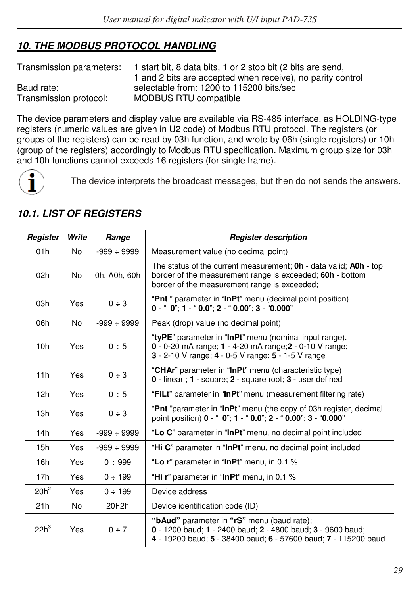# *10. THE MODBUS PROTOCOL HANDLING*

Transmission parameters: 1 start bit, 8 data bits, 1 or 2 stop bit (2 bits are send, 1 and 2 bits are accepted when receive), no parity control Baud rate: selectable from: 1200 to 115200 bits/sec<br>Transmission protocol: MODBUS RTU compatible MODBUS RTU compatible

The device parameters and display value are available via RS-485 interface, as HOLDING-type registers (numeric values are given in U2 code) of Modbus RTU protocol. The registers (or groups of the registers) can be read by 03h function, and wrote by 06h (single registers) or 10h (group of the registers) accordingly to Modbus RTU specification. Maximum group size for 03h and 10h functions cannot exceeds 16 registers (for single frame).



The device interprets the broadcast messages, but then do not sends the answers.

| Register        | Write     | Range            | <b>Register description</b>                                                                                                                                                                  |
|-----------------|-----------|------------------|----------------------------------------------------------------------------------------------------------------------------------------------------------------------------------------------|
| 01h             | <b>No</b> | $-999 \div 9999$ | Measurement value (no decimal point)                                                                                                                                                         |
| 02h             | No        | 0h, A0h, 60h     | The status of the current measurement; <b>Oh</b> - data valid; <b>AOh</b> - top<br>border of the measurement range is exceeded; 60h - bottom<br>border of the measurement range is exceeded; |
| 03h             | Yes       | 0 ÷ 3            | "Pnt" parameter in "InPt" menu (decimal point position)<br>$0 -$ " $0$ "; 1 - " $0.0$ "; 2 - " $0.00$ "; 3 - " $0.000$ "                                                                     |
| 06h             | <b>No</b> | $-999 \div 9999$ | Peak (drop) value (no decimal point)                                                                                                                                                         |
| 10h             | Yes       | 0 ÷ 5            | "tyPE" parameter in "InPt" menu (nominal input range).<br>$0 - 0 - 20$ mA range; $1 - 4 - 20$ mA range; $2 - 0 - 10$ V range;<br>3 - 2-10 V range: 4 - 0-5 V range: 5 - 1-5 V range          |
| 11h             | Yes       | 0 ÷ 3            | "CHAr" parameter in "InPt" menu (characteristic type)<br>0 - linear; 1 - square; 2 - square root; 3 - user defined                                                                           |
| 12h             | Yes       | 0 ÷ 5            | "FiLt" parameter in "InPt" menu (measurement filtering rate)                                                                                                                                 |
| 13h             | Yes       | 0 ÷ 3            | "Pnt "parameter in "InPt" menu (the copy of 03h register, decimal<br>point position) 0 - " 0"; 1 - " 0.0"; 2 - " 0.00"; 3 - "0.000"                                                          |
| 14h             | Yes       | $-999 \div 9999$ | "Lo C" parameter in "InPt" menu, no decimal point included                                                                                                                                   |
| 15h             | Yes       | $-999 \div 9999$ | "Hi C" parameter in "InPt" menu, no decimal point included                                                                                                                                   |
| 16h             | Yes       | 0 ÷ 999          | "Lo r" parameter in "InPt" menu, in 0.1 %                                                                                                                                                    |
| 17 <sub>h</sub> | Yes       | $0 \div 199$     | "Hi r" parameter in "InPt" menu, in 0.1 %                                                                                                                                                    |
| $20h^2$         | Yes       | $0 \div 199$     | Device address                                                                                                                                                                               |
| 21h             | <b>No</b> | 20F2h            | Device identification code (ID)                                                                                                                                                              |
| $22h^3$         | Yes       | $0 \div 7$       | "bAud" parameter in "rS" menu (baud rate);<br>0 - 1200 baud; 1 - 2400 baud; 2 - 4800 baud; 3 - 9600 baud;<br>4 - 19200 baud; 5 - 38400 baud; 6 - 57600 baud; 7 - 115200 baud                 |

## *10.1. LIST OF REGISTERS*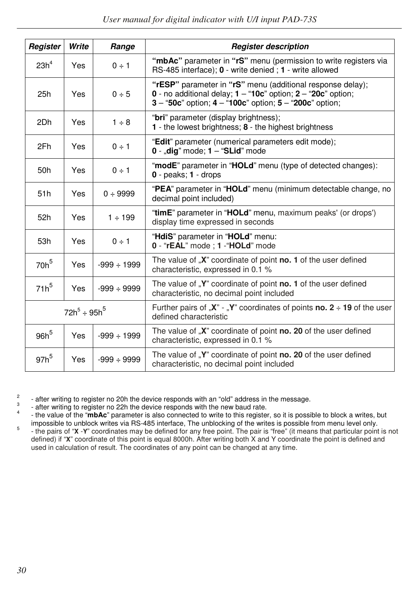| Register         | Write              | Range            | <b>Register description</b>                                                                                                                                                                     |
|------------------|--------------------|------------------|-------------------------------------------------------------------------------------------------------------------------------------------------------------------------------------------------|
| 23h <sup>4</sup> | Yes                | $0 \div 1$       | "mbAc" parameter in "rS" menu (permission to write registers via<br>RS-485 interface); 0 - write denied; 1 - write allowed                                                                      |
| 25h              | Yes                | 0 ÷ 5            | "rESP" parameter in "rS" menu (additional response delay);<br>0 - no additional delay; $1 - 10c$ " option; $2 - 20c$ " option;<br>$3 - 50c$ " option; $4 - 100c$ " option; $5 - 200c$ " option; |
| 2Dh              | Yes                | $1 \div 8$       | " <b>bri</b> " parameter (display brightness);<br><b>1</b> - the lowest brightness; $\boldsymbol{8}$ - the highest brightness                                                                   |
| 2Fh              | Yes                | $0 \div 1$       | "Edit" parameter (numerical parameters edit mode);<br>$0$ - "dig" mode; $1 -$ "SLid" mode                                                                                                       |
| 50h              | Yes                | $0 \div 1$       | "modE" parameter in "HOLd" menu (type of detected changes):<br>$0$ - peaks; $1$ - drops                                                                                                         |
| 51 <sub>h</sub>  | Yes                | $0 \div 9999$    | "PEA" parameter in "HOLd" menu (minimum detectable change, no<br>decimal point included)                                                                                                        |
| 52h              | Yes                | $1 \div 199$     | "timE" parameter in "HOLd" menu, maximum peaks' (or drops')<br>display time expressed in seconds                                                                                                |
| 53h              | Yes                | $0 \div 1$       | "HdiS" parameter in "HOLd" menu:<br>0 - "rEAL" mode : 1 - "HOLd" mode                                                                                                                           |
| 70h <sup>5</sup> | Yes                | $-999 \div 1999$ | The value of "X" coordinate of point no. 1 of the user defined<br>characteristic, expressed in 0.1 %                                                                                            |
| $71h^5$          | Yes                | $-999 \div 9999$ | The value of "Y" coordinate of point no. 1 of the user defined<br>characteristic, no decimal point included                                                                                     |
|                  | $72h^5 \div 95h^5$ |                  | Further pairs of " $X$ " - "Y" coordinates of points <b>no.</b> 2 $\div$ 19 of the user<br>defined characteristic                                                                               |
| $96h^5$          | Yes                | $-999 \div 1999$ | The value of "X" coordinate of point no. 20 of the user defined<br>characteristic, expressed in 0.1 %                                                                                           |
| $97h^5$          | Yes                | $-999 \div 9999$ | The value of "Y" coordinate of point no. 20 of the user defined<br>characteristic, no decimal point included                                                                                    |

2 - after writing to register no 20h the device responds with an "old" address in the message. 3

 - after writing to register no 22h the device responds with the new baud rate. 4

 - the value of the "**mbAc**" parameter is also connected to write to this register, so it is possible to block a writes, but impossible to unblock writes via RS-485 interface, The unblocking of the writes is possible from menu level only. 5 - the pairs of "**X** -**Y**" coordinates may be defined for any free point. The pair is "free" (it means that particular point is not defined) if "**X**" coordinate of this point is equal 8000h. After writing both X and Y coordinate the point is defined and used in calculation of result. The coordinates of any point can be changed at any time.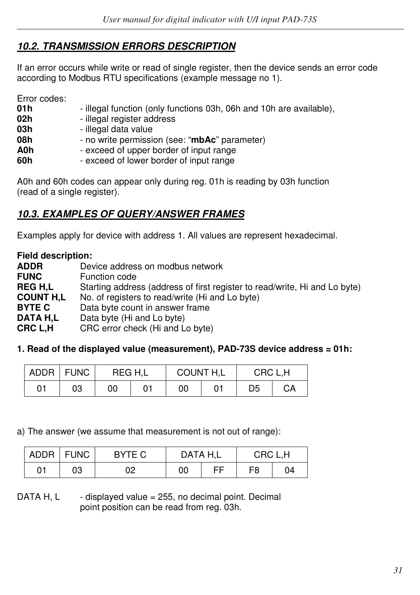# *10.2. TRANSMISSION ERRORS DESCRIPTION*

If an error occurs while write or read of single register, then the device sends an error code according to Modbus RTU specifications (example message no 1).

Error codes:

| 01 h | - illegal function (only functions 03h, 06h and 10h are available), |
|------|---------------------------------------------------------------------|
| 02h  | - illegal register address                                          |
| 03h  | - illegal data value                                                |
| 08h  | - no write permission (see: "mbAc" parameter)                       |
| A0h  | - exceed of upper border of input range                             |
| 60h  | - exceed of lower border of input range                             |

A0h and 60h codes can appear only during reg. 01h is reading by 03h function (read of a single register).

## *10.3. EXAMPLES OF QUERY/ANSWER FRAMES*

Examples apply for device with address 1. All values are represent hexadecimal.

**Field description:** 

| <b>ADDR</b>      | Device address on modbus network                                           |
|------------------|----------------------------------------------------------------------------|
| <b>FUNC</b>      | Function code                                                              |
| <b>REGH.L</b>    | Starting address (address of first register to read/write, Hi and Lo byte) |
| <b>COUNT H.L</b> | No. of registers to read/write (Hi and Lo byte)                            |
| <b>BYTE C</b>    | Data byte count in answer frame                                            |
| DATA H.L         | Data byte (Hi and Lo byte)                                                 |
| CRC L.H          | CRC error check (Hi and Lo byte)                                           |

#### **1. Read of the displayed value (measurement), PAD-73S device address = 01h:**

|    | ADDR   FUNC | REG H.L | <b>COUNT H,L</b> | CRC L.H |    |  |
|----|-------------|---------|------------------|---------|----|--|
| 01 | 03          | 00      | 00               | D5      | CА |  |

a) The answer (we assume that measurement is not out of range):

| <b>ADDR</b> | .   FUNC | BYTE C |    | DATA H.L | CRC L.H |    |
|-------------|----------|--------|----|----------|---------|----|
| 01          | 03       | ገባ     | 00 | FF       | F8      | 04 |

DATA H, L  $\qquad$  - displayed value = 255, no decimal point. Decimal point position can be read from reg. 03h.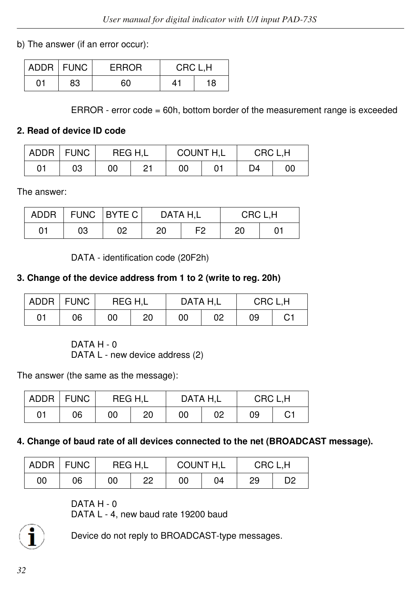b) The answer (if an error occur):

|    | ADDR FUNC | <b>ERROR</b> | CRC L.H |    |
|----|-----------|--------------|---------|----|
| 01 | 83        | 60           | 41      | 18 |

ERROR - error code = 60h, bottom border of the measurement range is exceeded

#### **2. Read of device ID code**

| ADDR | <b>FUNC</b> | REG H.L |    | COUNT H,L | CRC L.H |    |  |
|------|-------------|---------|----|-----------|---------|----|--|
| 01   | 03          | 00      | つ1 | 00        | D4      | 00 |  |

The answer:

| <b>ADDR</b> |    | FUNC   BYTE C | DATA H,L |                | CRC L.H |  |  |
|-------------|----|---------------|----------|----------------|---------|--|--|
| 01          | 03 | 02            | 20       | F <sub>2</sub> | 20      |  |  |

DATA - identification code (20F2h)

#### **3. Change of the device address from 1 to 2 (write to reg. 20h)**

|    | ADDR   FUNC | REG H.L |    | DATA H.L |    | CRC L.H |    |  |
|----|-------------|---------|----|----------|----|---------|----|--|
| 01 | 06          | 00      | 20 | 00       | 02 | 09      | С1 |  |

DATA H - 0

DATA L - new device address (2)

The answer (the same as the message):

|    | ADDR   FUNC | REG H.L |    | DATA H.L |    | CRC L.H |    |  |
|----|-------------|---------|----|----------|----|---------|----|--|
| 01 | 06          | 00      | 20 | 00       | 02 | 09      | С1 |  |

#### **4. Change of baud rate of all devices connected to the net (BROADCAST message).**

| <b>ADDR</b> | <b>FUNC</b> | REG H.L |         | COUNT H,L |    | CRC L.H |                |  |
|-------------|-------------|---------|---------|-----------|----|---------|----------------|--|
| 00          | 06          | 00      | ററ<br>ے | 00        | 04 | 29      | D <sub>2</sub> |  |

DATA H - 0

DATA L - 4, new baud rate 19200 baud



Device do not reply to BROADCAST-type messages.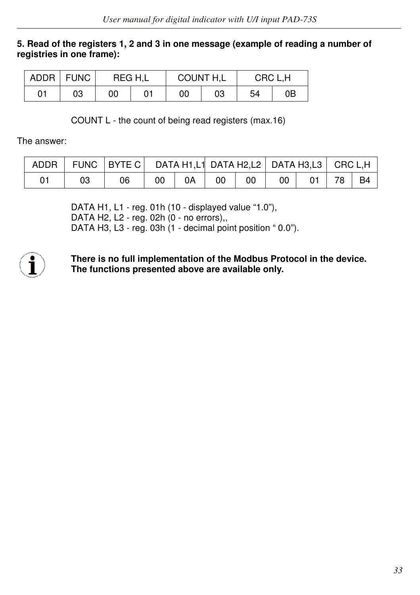#### **5. Read of the registers 1, 2 and 3 in one message (example of reading a number of registries in one frame):**

| ADDR | <b>FUNC</b> | REG H.L |  | <b>COUNT H,L</b> |    | CRC L.H |    |  |
|------|-------------|---------|--|------------------|----|---------|----|--|
| 01   | 03          | 00      |  | 00               | 03 | 54      | 0Β |  |

COUNT L - the count of being read registers (max.16)

The answer:

|    | ADDR   FUNC   BYTE C   DATA H1,L1 DATA H2,L2   DATA H3,L3   CRC L,H |    |    |    |    |                 |            |  |
|----|---------------------------------------------------------------------|----|----|----|----|-----------------|------------|--|
| 03 | 06                                                                  | 00 | 0A | 00 | 00 | 00 <sup>1</sup> | $01$ 78 B4 |  |

 DATA H1, L1 - reg. 01h (10 - displayed value "1.0"), DATA H2, L2 - reg. 02h (0 - no errors),, DATA H3, L3 - reg. 03h (1 - decimal point position " 0.0").



**There is no full implementation of the Modbus Protocol in the device. The functions presented above are available only.**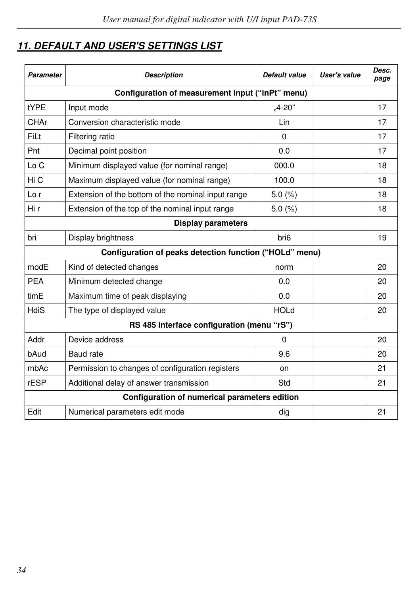# *11. DEFAULT AND USER'S SETTINGS LIST*

| Parameter                 | <b>Description</b>                                      | Default value    | User's value | Desc.<br>page |  |  |  |  |  |
|---------------------------|---------------------------------------------------------|------------------|--------------|---------------|--|--|--|--|--|
|                           | Configuration of measurement input ("inPt" menu)        |                  |              |               |  |  |  |  |  |
| tYPE                      | Input mode                                              | $.4 - 20"$       |              | 17            |  |  |  |  |  |
| CHAr                      | Conversion characteristic mode                          | Lin              |              | 17            |  |  |  |  |  |
| FiLt                      | Filtering ratio                                         | 0                |              | 17            |  |  |  |  |  |
| Pnt                       | Decimal point position                                  | 0.0              |              | 17            |  |  |  |  |  |
| Lo C                      | Minimum displayed value (for nominal range)             | 000.0            |              | 18            |  |  |  |  |  |
| Hi C                      | Maximum displayed value (for nominal range)             | 100.0            |              | 18            |  |  |  |  |  |
| Lo r                      | Extension of the bottom of the nominal input range      | 5.0(%)           |              | 18            |  |  |  |  |  |
| Hi r                      | Extension of the top of the nominal input range         | 5.0(%)           |              | 18            |  |  |  |  |  |
| <b>Display parameters</b> |                                                         |                  |              |               |  |  |  |  |  |
| bri                       | Display brightness                                      | bri <sub>6</sub> |              | 19            |  |  |  |  |  |
|                           | Configuration of peaks detection function ("HOLd" menu) |                  |              |               |  |  |  |  |  |
| modE                      | Kind of detected changes                                | norm             |              | 20            |  |  |  |  |  |
| <b>PEA</b>                | Minimum detected change                                 | 0.0              |              | 20            |  |  |  |  |  |
| timE                      | Maximum time of peak displaying                         | 0.0              |              | 20            |  |  |  |  |  |
| HdiS                      | The type of displayed value                             | <b>HOLd</b>      |              | 20            |  |  |  |  |  |
|                           | RS 485 interface configuration (menu "rS")              |                  |              |               |  |  |  |  |  |
| Addr                      | Device address                                          | 0                |              | 20            |  |  |  |  |  |
| bAud                      | Baud rate                                               | 9.6              |              | 20            |  |  |  |  |  |
| mbAc                      | Permission to changes of configuration registers        | on               |              | 21            |  |  |  |  |  |
| rESP                      | Additional delay of answer transmission                 | Std              |              | 21            |  |  |  |  |  |
|                           | Configuration of numerical parameters edition           |                  |              |               |  |  |  |  |  |
| Edit                      | Numerical parameters edit mode                          | dig              |              | 21            |  |  |  |  |  |